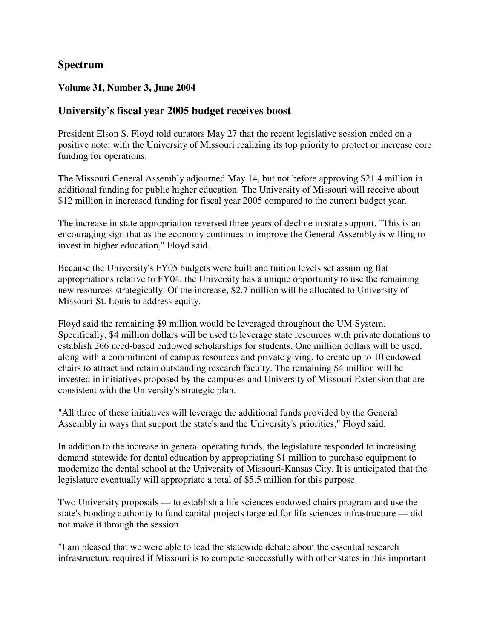## **Spectrum**

#### **Volume 31, Number 3, June 2004**

### **University's fiscal year 2005 budget receives boost**

President Elson S. Floyd told curators May 27 that the recent legislative session ended on a positive note, with the University of Missouri realizing its top priority to protect or increase core funding for operations.

The Missouri General Assembly adjourned May 14, but not before approving \$21.4 million in additional funding for public higher education. The University of Missouri will receive about \$12 million in increased funding for fiscal year 2005 compared to the current budget year.

The increase in state appropriation reversed three years of decline in state support. "This is an encouraging sign that as the economy continues to improve the General Assembly is willing to invest in higher education," Floyd said.

Because the University's FY05 budgets were built and tuition levels set assuming flat appropriations relative to FY04, the University has a unique opportunity to use the remaining new resources strategically. Of the increase, \$2.7 million will be allocated to University of Missouri-St. Louis to address equity.

Floyd said the remaining \$9 million would be leveraged throughout the UM System. Specifically, \$4 million dollars will be used to leverage state resources with private donations to establish 266 need-based endowed scholarships for students. One million dollars will be used, along with a commitment of campus resources and private giving, to create up to 10 endowed chairs to attract and retain outstanding research faculty. The remaining \$4 million will be invested in initiatives proposed by the campuses and University of Missouri Extension that are consistent with the University's strategic plan.

"All three of these initiatives will leverage the additional funds provided by the General Assembly in ways that support the state's and the University's priorities," Floyd said.

In addition to the increase in general operating funds, the legislature responded to increasing demand statewide for dental education by appropriating \$1 million to purchase equipment to modernize the dental school at the University of Missouri-Kansas City. It is anticipated that the legislature eventually will appropriate a total of \$5.5 million for this purpose.

Two University proposals — to establish a life sciences endowed chairs program and use the state's bonding authority to fund capital projects targeted for life sciences infrastructure — did not make it through the session.

"I am pleased that we were able to lead the statewide debate about the essential research infrastructure required if Missouri is to compete successfully with other states in this important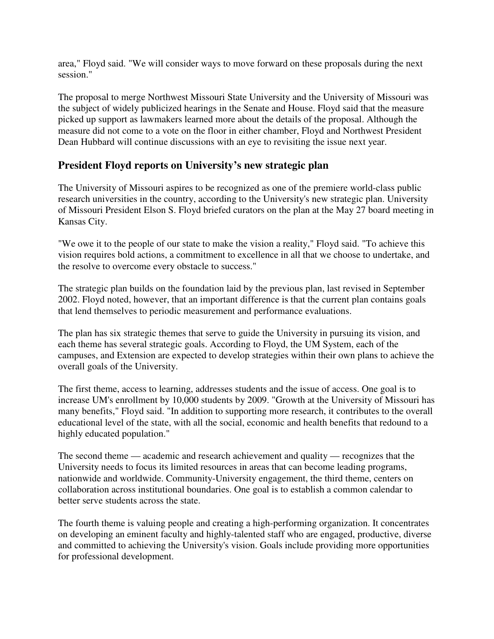area," Floyd said. "We will consider ways to move forward on these proposals during the next session."

The proposal to merge Northwest Missouri State University and the University of Missouri was the subject of widely publicized hearings in the Senate and House. Floyd said that the measure picked up support as lawmakers learned more about the details of the proposal. Although the measure did not come to a vote on the floor in either chamber, Floyd and Northwest President Dean Hubbard will continue discussions with an eye to revisiting the issue next year.

# **President Floyd reports on University's new strategic plan**

The University of Missouri aspires to be recognized as one of the premiere world-class public research universities in the country, according to the University's new strategic plan. University of Missouri President Elson S. Floyd briefed curators on the plan at the May 27 board meeting in Kansas City.

"We owe it to the people of our state to make the vision a reality," Floyd said. "To achieve this vision requires bold actions, a commitment to excellence in all that we choose to undertake, and the resolve to overcome every obstacle to success."

The strategic plan builds on the foundation laid by the previous plan, last revised in September 2002. Floyd noted, however, that an important difference is that the current plan contains goals that lend themselves to periodic measurement and performance evaluations.

The plan has six strategic themes that serve to guide the University in pursuing its vision, and each theme has several strategic goals. According to Floyd, the UM System, each of the campuses, and Extension are expected to develop strategies within their own plans to achieve the overall goals of the University.

The first theme, access to learning, addresses students and the issue of access. One goal is to increase UM's enrollment by 10,000 students by 2009. "Growth at the University of Missouri has many benefits," Floyd said. "In addition to supporting more research, it contributes to the overall educational level of the state, with all the social, economic and health benefits that redound to a highly educated population."

The second theme — academic and research achievement and quality — recognizes that the University needs to focus its limited resources in areas that can become leading programs, nationwide and worldwide. Community-University engagement, the third theme, centers on collaboration across institutional boundaries. One goal is to establish a common calendar to better serve students across the state.

The fourth theme is valuing people and creating a high-performing organization. It concentrates on developing an eminent faculty and highly-talented staff who are engaged, productive, diverse and committed to achieving the University's vision. Goals include providing more opportunities for professional development.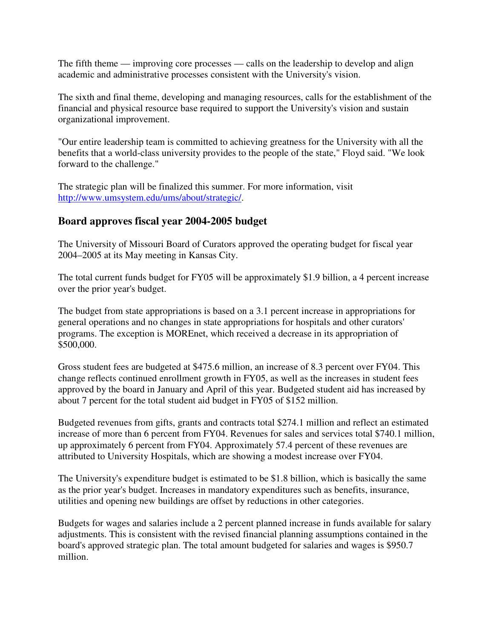The fifth theme — improving core processes — calls on the leadership to develop and align academic and administrative processes consistent with the University's vision.

The sixth and final theme, developing and managing resources, calls for the establishment of the financial and physical resource base required to support the University's vision and sustain organizational improvement.

"Our entire leadership team is committed to achieving greatness for the University with all the benefits that a world-class university provides to the people of the state," Floyd said. "We look forward to the challenge."

The strategic plan will be finalized this summer. For more information, visit http://www.umsystem.edu/ums/about/strategic/.

# **Board approves fiscal year 2004-2005 budget**

The University of Missouri Board of Curators approved the operating budget for fiscal year 2004–2005 at its May meeting in Kansas City.

The total current funds budget for FY05 will be approximately \$1.9 billion, a 4 percent increase over the prior year's budget.

The budget from state appropriations is based on a 3.1 percent increase in appropriations for general operations and no changes in state appropriations for hospitals and other curators' programs. The exception is MOREnet, which received a decrease in its appropriation of \$500,000.

Gross student fees are budgeted at \$475.6 million, an increase of 8.3 percent over FY04. This change reflects continued enrollment growth in FY05, as well as the increases in student fees approved by the board in January and April of this year. Budgeted student aid has increased by about 7 percent for the total student aid budget in FY05 of \$152 million.

Budgeted revenues from gifts, grants and contracts total \$274.1 million and reflect an estimated increase of more than 6 percent from FY04. Revenues for sales and services total \$740.1 million, up approximately 6 percent from FY04. Approximately 57.4 percent of these revenues are attributed to University Hospitals, which are showing a modest increase over FY04.

The University's expenditure budget is estimated to be \$1.8 billion, which is basically the same as the prior year's budget. Increases in mandatory expenditures such as benefits, insurance, utilities and opening new buildings are offset by reductions in other categories.

Budgets for wages and salaries include a 2 percent planned increase in funds available for salary adjustments. This is consistent with the revised financial planning assumptions contained in the board's approved strategic plan. The total amount budgeted for salaries and wages is \$950.7 million.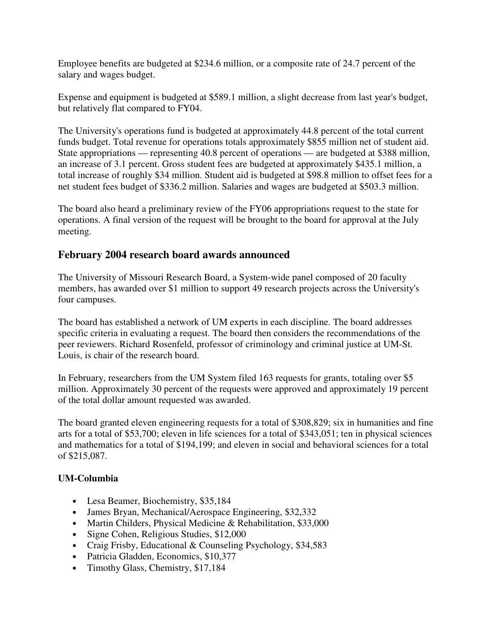Employee benefits are budgeted at \$234.6 million, or a composite rate of 24.7 percent of the salary and wages budget.

Expense and equipment is budgeted at \$589.1 million, a slight decrease from last year's budget, but relatively flat compared to FY04.

The University's operations fund is budgeted at approximately 44.8 percent of the total current funds budget. Total revenue for operations totals approximately \$855 million net of student aid. State appropriations — representing 40.8 percent of operations — are budgeted at \$388 million, an increase of 3.1 percent. Gross student fees are budgeted at approximately \$435.1 million, a total increase of roughly \$34 million. Student aid is budgeted at \$98.8 million to offset fees for a net student fees budget of \$336.2 million. Salaries and wages are budgeted at \$503.3 million.

The board also heard a preliminary review of the FY06 appropriations request to the state for operations. A final version of the request will be brought to the board for approval at the July meeting.

# **February 2004 research board awards announced**

The University of Missouri Research Board, a System-wide panel composed of 20 faculty members, has awarded over \$1 million to support 49 research projects across the University's four campuses.

The board has established a network of UM experts in each discipline. The board addresses specific criteria in evaluating a request. The board then considers the recommendations of the peer reviewers. Richard Rosenfeld, professor of criminology and criminal justice at UM-St. Louis, is chair of the research board.

In February, researchers from the UM System filed 163 requests for grants, totaling over \$5 million. Approximately 30 percent of the requests were approved and approximately 19 percent of the total dollar amount requested was awarded.

The board granted eleven engineering requests for a total of \$308,829; six in humanities and fine arts for a total of \$53,700; eleven in life sciences for a total of \$343,051; ten in physical sciences and mathematics for a total of \$194,199; and eleven in social and behavioral sciences for a total of \$215,087.

## **UM-Columbia**

- Lesa Beamer, Biochemistry, \$35,184
- James Bryan, Mechanical/Aerospace Engineering, \$32,332
- Martin Childers, Physical Medicine & Rehabilitation, \$33,000
- Signe Cohen, Religious Studies, \$12,000
- Craig Frisby, Educational & Counseling Psychology, \$34,583
- Patricia Gladden, Economics, \$10,377
- Timothy Glass, Chemistry, \$17,184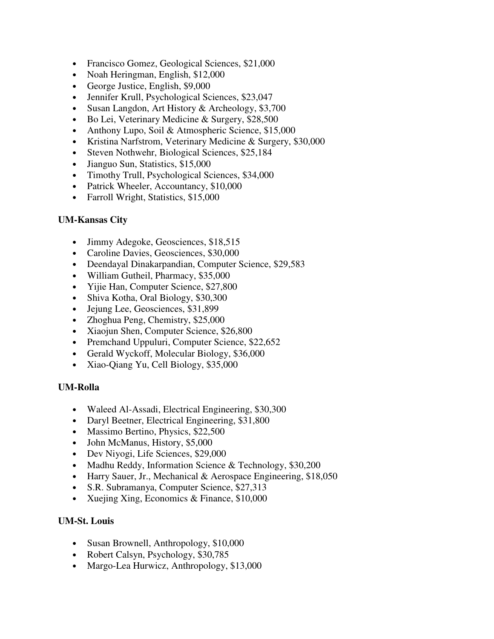- Francisco Gomez, Geological Sciences, \$21,000
- Noah Heringman, English, \$12,000
- George Justice, English, \$9,000
- Jennifer Krull, Psychological Sciences, \$23,047
- Susan Langdon, Art History & Archeology, \$3,700
- Bo Lei, Veterinary Medicine & Surgery, \$28,500
- Anthony Lupo, Soil & Atmospheric Science, \$15,000
- Kristina Narfstrom, Veterinary Medicine & Surgery, \$30,000
- Steven Nothwehr, Biological Sciences, \$25,184
- Jianguo Sun, Statistics, \$15,000
- Timothy Trull, Psychological Sciences, \$34,000
- Patrick Wheeler, Accountancy, \$10,000
- Farroll Wright, Statistics, \$15,000

#### **UM-Kansas City**

- Jimmy Adegoke, Geosciences, \$18,515
- Caroline Davies, Geosciences, \$30,000
- Deendayal Dinakarpandian, Computer Science, \$29,583
- William Gutheil, Pharmacy, \$35,000
- Yijie Han, Computer Science, \$27,800
- Shiva Kotha, Oral Biology, \$30,300
- Jejung Lee, Geosciences, \$31,899
- Zhoghua Peng, Chemistry, \$25,000
- Xiaojun Shen, Computer Science, \$26,800
- Premchand Uppuluri, Computer Science, \$22,652
- Gerald Wyckoff, Molecular Biology, \$36,000
- Xiao-Qiang Yu, Cell Biology, \$35,000

#### **UM-Rolla**

- Waleed Al-Assadi, Electrical Engineering, \$30,300
- Daryl Beetner, Electrical Engineering, \$31,800
- Massimo Bertino, Physics, \$22,500
- John McManus, History, \$5,000
- Dev Niyogi, Life Sciences, \$29,000
- Madhu Reddy, Information Science & Technology, \$30,200
- Harry Sauer, Jr., Mechanical & Aerospace Engineering, \$18,050
- S.R. Subramanya, Computer Science, \$27,313
- Xuejing Xing, Economics & Finance, \$10,000

#### **UM-St. Louis**

- Susan Brownell, Anthropology, \$10,000
- Robert Calsyn, Psychology, \$30,785
- Margo-Lea Hurwicz, Anthropology, \$13,000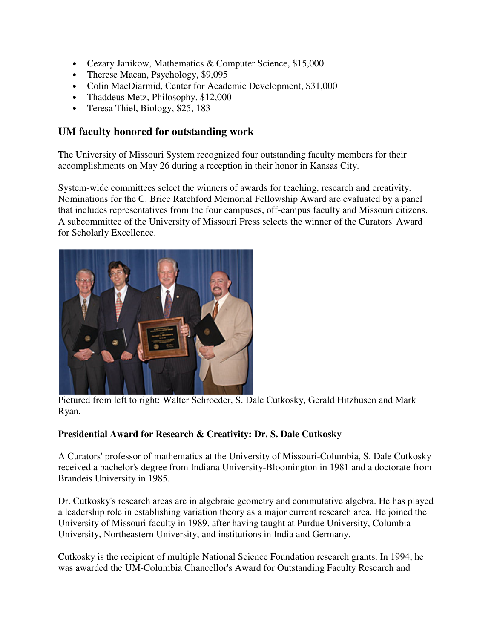- Cezary Janikow, Mathematics & Computer Science, \$15,000
- Therese Macan, Psychology, \$9,095
- Colin MacDiarmid, Center for Academic Development, \$31,000
- Thaddeus Metz, Philosophy, \$12,000
- Teresa Thiel, Biology, \$25, 183

# **UM faculty honored for outstanding work**

The University of Missouri System recognized four outstanding faculty members for their accomplishments on May 26 during a reception in their honor in Kansas City.

System-wide committees select the winners of awards for teaching, research and creativity. Nominations for the C. Brice Ratchford Memorial Fellowship Award are evaluated by a panel that includes representatives from the four campuses, off-campus faculty and Missouri citizens. A subcommittee of the University of Missouri Press selects the winner of the Curators' Award for Scholarly Excellence.



Pictured from left to right: Walter Schroeder, S. Dale Cutkosky, Gerald Hitzhusen and Mark Ryan.

### **Presidential Award for Research & Creativity: Dr. S. Dale Cutkosky**

A Curators' professor of mathematics at the University of Missouri-Columbia, S. Dale Cutkosky received a bachelor's degree from Indiana University-Bloomington in 1981 and a doctorate from Brandeis University in 1985.

Dr. Cutkosky's research areas are in algebraic geometry and commutative algebra. He has played a leadership role in establishing variation theory as a major current research area. He joined the University of Missouri faculty in 1989, after having taught at Purdue University, Columbia University, Northeastern University, and institutions in India and Germany.

Cutkosky is the recipient of multiple National Science Foundation research grants. In 1994, he was awarded the UM-Columbia Chancellor's Award for Outstanding Faculty Research and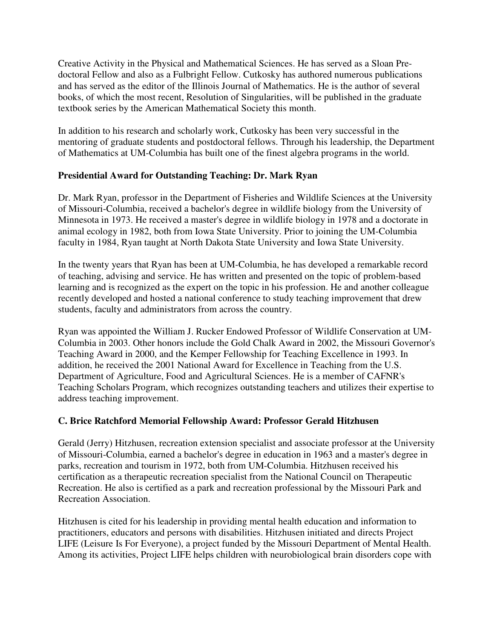Creative Activity in the Physical and Mathematical Sciences. He has served as a Sloan Predoctoral Fellow and also as a Fulbright Fellow. Cutkosky has authored numerous publications and has served as the editor of the Illinois Journal of Mathematics. He is the author of several books, of which the most recent, Resolution of Singularities, will be published in the graduate textbook series by the American Mathematical Society this month.

In addition to his research and scholarly work, Cutkosky has been very successful in the mentoring of graduate students and postdoctoral fellows. Through his leadership, the Department of Mathematics at UM-Columbia has built one of the finest algebra programs in the world.

## **Presidential Award for Outstanding Teaching: Dr. Mark Ryan**

Dr. Mark Ryan, professor in the Department of Fisheries and Wildlife Sciences at the University of Missouri-Columbia, received a bachelor's degree in wildlife biology from the University of Minnesota in 1973. He received a master's degree in wildlife biology in 1978 and a doctorate in animal ecology in 1982, both from Iowa State University. Prior to joining the UM-Columbia faculty in 1984, Ryan taught at North Dakota State University and Iowa State University.

In the twenty years that Ryan has been at UM-Columbia, he has developed a remarkable record of teaching, advising and service. He has written and presented on the topic of problem-based learning and is recognized as the expert on the topic in his profession. He and another colleague recently developed and hosted a national conference to study teaching improvement that drew students, faculty and administrators from across the country.

Ryan was appointed the William J. Rucker Endowed Professor of Wildlife Conservation at UM-Columbia in 2003. Other honors include the Gold Chalk Award in 2002, the Missouri Governor's Teaching Award in 2000, and the Kemper Fellowship for Teaching Excellence in 1993. In addition, he received the 2001 National Award for Excellence in Teaching from the U.S. Department of Agriculture, Food and Agricultural Sciences. He is a member of CAFNR's Teaching Scholars Program, which recognizes outstanding teachers and utilizes their expertise to address teaching improvement.

### **C. Brice Ratchford Memorial Fellowship Award: Professor Gerald Hitzhusen**

Gerald (Jerry) Hitzhusen, recreation extension specialist and associate professor at the University of Missouri-Columbia, earned a bachelor's degree in education in 1963 and a master's degree in parks, recreation and tourism in 1972, both from UM-Columbia. Hitzhusen received his certification as a therapeutic recreation specialist from the National Council on Therapeutic Recreation. He also is certified as a park and recreation professional by the Missouri Park and Recreation Association.

Hitzhusen is cited for his leadership in providing mental health education and information to practitioners, educators and persons with disabilities. Hitzhusen initiated and directs Project LIFE (Leisure Is For Everyone), a project funded by the Missouri Department of Mental Health. Among its activities, Project LIFE helps children with neurobiological brain disorders cope with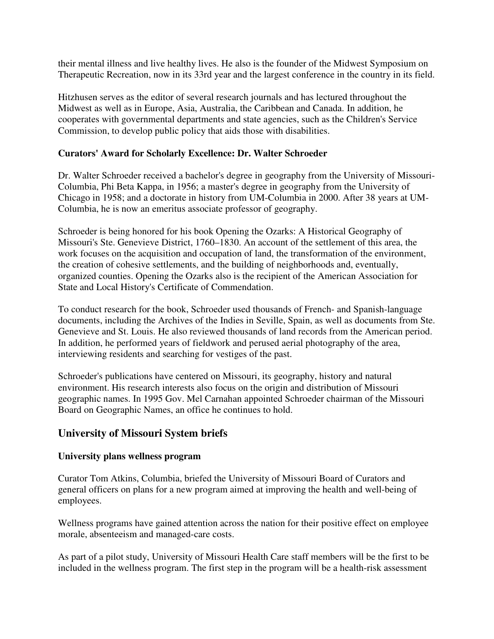their mental illness and live healthy lives. He also is the founder of the Midwest Symposium on Therapeutic Recreation, now in its 33rd year and the largest conference in the country in its field.

Hitzhusen serves as the editor of several research journals and has lectured throughout the Midwest as well as in Europe, Asia, Australia, the Caribbean and Canada. In addition, he cooperates with governmental departments and state agencies, such as the Children's Service Commission, to develop public policy that aids those with disabilities.

### **Curators' Award for Scholarly Excellence: Dr. Walter Schroeder**

Dr. Walter Schroeder received a bachelor's degree in geography from the University of Missouri-Columbia, Phi Beta Kappa, in 1956; a master's degree in geography from the University of Chicago in 1958; and a doctorate in history from UM-Columbia in 2000. After 38 years at UM-Columbia, he is now an emeritus associate professor of geography.

Schroeder is being honored for his book Opening the Ozarks: A Historical Geography of Missouri's Ste. Genevieve District, 1760–1830. An account of the settlement of this area, the work focuses on the acquisition and occupation of land, the transformation of the environment, the creation of cohesive settlements, and the building of neighborhoods and, eventually, organized counties. Opening the Ozarks also is the recipient of the American Association for State and Local History's Certificate of Commendation.

To conduct research for the book, Schroeder used thousands of French- and Spanish-language documents, including the Archives of the Indies in Seville, Spain, as well as documents from Ste. Genevieve and St. Louis. He also reviewed thousands of land records from the American period. In addition, he performed years of fieldwork and perused aerial photography of the area, interviewing residents and searching for vestiges of the past.

Schroeder's publications have centered on Missouri, its geography, history and natural environment. His research interests also focus on the origin and distribution of Missouri geographic names. In 1995 Gov. Mel Carnahan appointed Schroeder chairman of the Missouri Board on Geographic Names, an office he continues to hold.

### **University of Missouri System briefs**

#### **University plans wellness program**

Curator Tom Atkins, Columbia, briefed the University of Missouri Board of Curators and general officers on plans for a new program aimed at improving the health and well-being of employees.

Wellness programs have gained attention across the nation for their positive effect on employee morale, absenteeism and managed-care costs.

As part of a pilot study, University of Missouri Health Care staff members will be the first to be included in the wellness program. The first step in the program will be a health-risk assessment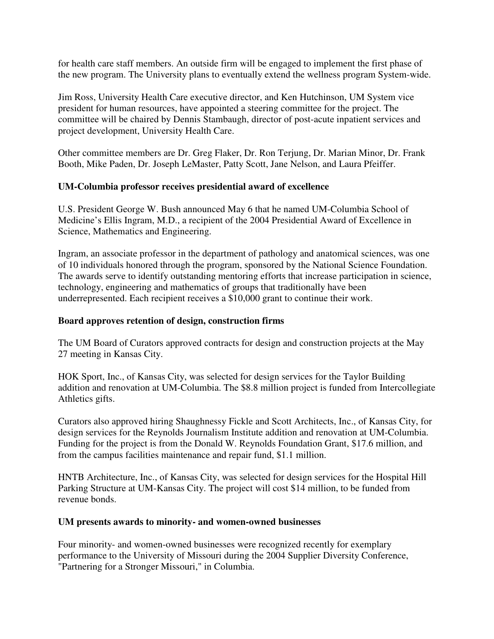for health care staff members. An outside firm will be engaged to implement the first phase of the new program. The University plans to eventually extend the wellness program System-wide.

Jim Ross, University Health Care executive director, and Ken Hutchinson, UM System vice president for human resources, have appointed a steering committee for the project. The committee will be chaired by Dennis Stambaugh, director of post-acute inpatient services and project development, University Health Care.

Other committee members are Dr. Greg Flaker, Dr. Ron Terjung, Dr. Marian Minor, Dr. Frank Booth, Mike Paden, Dr. Joseph LeMaster, Patty Scott, Jane Nelson, and Laura Pfeiffer.

#### **UM-Columbia professor receives presidential award of excellence**

U.S. President George W. Bush announced May 6 that he named UM-Columbia School of Medicine's Ellis Ingram, M.D., a recipient of the 2004 Presidential Award of Excellence in Science, Mathematics and Engineering.

Ingram, an associate professor in the department of pathology and anatomical sciences, was one of 10 individuals honored through the program, sponsored by the National Science Foundation. The awards serve to identify outstanding mentoring efforts that increase participation in science, technology, engineering and mathematics of groups that traditionally have been underrepresented. Each recipient receives a \$10,000 grant to continue their work.

### **Board approves retention of design, construction firms**

The UM Board of Curators approved contracts for design and construction projects at the May 27 meeting in Kansas City.

HOK Sport, Inc., of Kansas City, was selected for design services for the Taylor Building addition and renovation at UM-Columbia. The \$8.8 million project is funded from Intercollegiate Athletics gifts.

Curators also approved hiring Shaughnessy Fickle and Scott Architects, Inc., of Kansas City, for design services for the Reynolds Journalism Institute addition and renovation at UM-Columbia. Funding for the project is from the Donald W. Reynolds Foundation Grant, \$17.6 million, and from the campus facilities maintenance and repair fund, \$1.1 million.

HNTB Architecture, Inc., of Kansas City, was selected for design services for the Hospital Hill Parking Structure at UM-Kansas City. The project will cost \$14 million, to be funded from revenue bonds.

#### **UM presents awards to minority- and women-owned businesses**

Four minority- and women-owned businesses were recognized recently for exemplary performance to the University of Missouri during the 2004 Supplier Diversity Conference, "Partnering for a Stronger Missouri," in Columbia.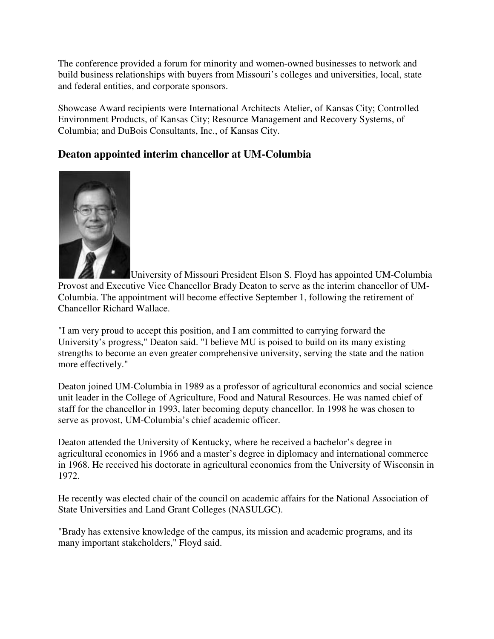The conference provided a forum for minority and women-owned businesses to network and build business relationships with buyers from Missouri's colleges and universities, local, state and federal entities, and corporate sponsors.

Showcase Award recipients were International Architects Atelier, of Kansas City; Controlled Environment Products, of Kansas City; Resource Management and Recovery Systems, of Columbia; and DuBois Consultants, Inc., of Kansas City.

# **Deaton appointed interim chancellor at UM-Columbia**



University of Missouri President Elson S. Floyd has appointed UM-Columbia Provost and Executive Vice Chancellor Brady Deaton to serve as the interim chancellor of UM-Columbia. The appointment will become effective September 1, following the retirement of Chancellor Richard Wallace.

"I am very proud to accept this position, and I am committed to carrying forward the University's progress," Deaton said. "I believe MU is poised to build on its many existing strengths to become an even greater comprehensive university, serving the state and the nation more effectively."

Deaton joined UM-Columbia in 1989 as a professor of agricultural economics and social science unit leader in the College of Agriculture, Food and Natural Resources. He was named chief of staff for the chancellor in 1993, later becoming deputy chancellor. In 1998 he was chosen to serve as provost, UM-Columbia's chief academic officer.

Deaton attended the University of Kentucky, where he received a bachelor's degree in agricultural economics in 1966 and a master's degree in diplomacy and international commerce in 1968. He received his doctorate in agricultural economics from the University of Wisconsin in 1972.

He recently was elected chair of the council on academic affairs for the National Association of State Universities and Land Grant Colleges (NASULGC).

"Brady has extensive knowledge of the campus, its mission and academic programs, and its many important stakeholders," Floyd said.